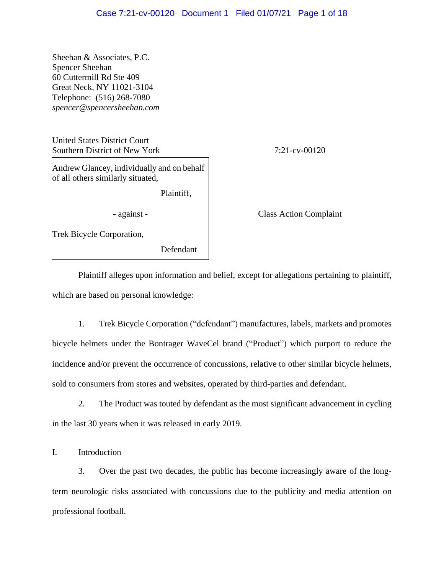Sheehan & Associates, P.C. Spencer Sheehan 60 Cuttermill Rd Ste 409 Great Neck, NY 11021-3104 Telephone: (516) 268-7080 *spencer@spencersheehan.com*

United States District Court Southern District of New York 7:21-cv-00120

Andrew Glancey, individually and on behalf of all others similarly situated,

Plaintiff,

- against - Class Action Complaint

Trek Bicycle Corporation,

Defendant

Plaintiff alleges upon information and belief, except for allegations pertaining to plaintiff, which are based on personal knowledge:

1. Trek Bicycle Corporation ("defendant") manufactures, labels, markets and promotes bicycle helmets under the Bontrager WaveCel brand ("Product") which purport to reduce the incidence and/or prevent the occurrence of concussions, relative to other similar bicycle helmets, sold to consumers from stores and websites, operated by third-parties and defendant.

2. The Product was touted by defendant as the most significant advancement in cycling in the last 30 years when it was released in early 2019.

I. Introduction

3. Over the past two decades, the public has become increasingly aware of the longterm neurologic risks associated with concussions due to the publicity and media attention on professional football.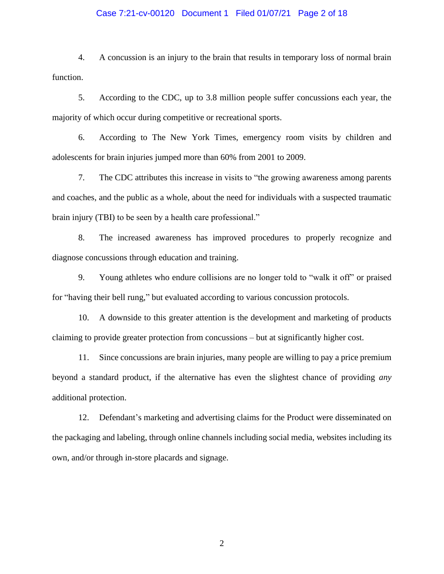#### Case 7:21-cv-00120 Document 1 Filed 01/07/21 Page 2 of 18

4. A concussion is an injury to the brain that results in temporary loss of normal brain function.

5. According to the CDC, up to 3.8 million people suffer concussions each year, the majority of which occur during competitive or recreational sports.

6. According to The New York Times, emergency room visits by children and adolescents for brain injuries jumped more than 60% from 2001 to 2009.

7. The CDC attributes this increase in visits to "the growing awareness among parents and coaches, and the public as a whole, about the need for individuals with a suspected traumatic brain injury (TBI) to be seen by a health care professional."

8. The increased awareness has improved procedures to properly recognize and diagnose concussions through education and training.

9. Young athletes who endure collisions are no longer told to "walk it off" or praised for "having their bell rung," but evaluated according to various concussion protocols.

10. A downside to this greater attention is the development and marketing of products claiming to provide greater protection from concussions – but at significantly higher cost.

11. Since concussions are brain injuries, many people are willing to pay a price premium beyond a standard product, if the alternative has even the slightest chance of providing *any* additional protection.

12. Defendant's marketing and advertising claims for the Product were disseminated on the packaging and labeling, through online channels including social media, websites including its own, and/or through in-store placards and signage.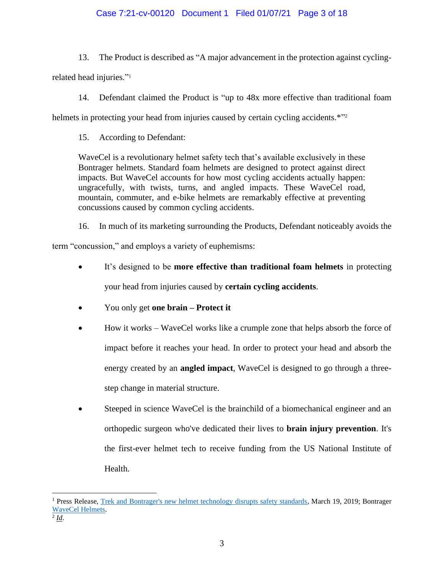# Case 7:21-cv-00120 Document 1 Filed 01/07/21 Page 3 of 18

13. The Product is described as "A major advancement in the protection against cycling-

related head injuries."<sup>1</sup>

14. Defendant claimed the Product is "up to 48x more effective than traditional foam

helmets in protecting your head from injuries caused by certain cycling accidents.\*"2

15. According to Defendant:

WaveCel is a revolutionary helmet safety tech that's available exclusively in these Bontrager helmets. Standard foam helmets are designed to protect against direct impacts. But WaveCel accounts for how most cycling accidents actually happen: ungracefully, with twists, turns, and angled impacts. These WaveCel road, mountain, commuter, and e-bike helmets are remarkably effective at preventing concussions caused by common cycling accidents.

16. In much of its marketing surrounding the Products, Defendant noticeably avoids the

term "concussion," and employs a variety of euphemisms:

- It's designed to be **more effective than traditional foam helmets** in protecting your head from injuries caused by **certain cycling accidents**.
- You only get **one brain – Protect it**
- How it works WaveCel works like a crumple zone that helps absorb the force of impact before it reaches your head. In order to protect your head and absorb the energy created by an **angled impact**, WaveCel is designed to go through a threestep change in material structure.
- Steeped in science WaveCel is the brainchild of a biomechanical engineer and an orthopedic surgeon who've dedicated their lives to **brain injury prevention**. It's the first-ever helmet tech to receive funding from the US National Institute of Health.

<sup>&</sup>lt;sup>1</sup> Press Release, Trek and Bontrager's new helmet technology disrupts safety standards, March 19, 2019; Bontrager WaveCel Helmets.

<sup>2</sup> *Id*.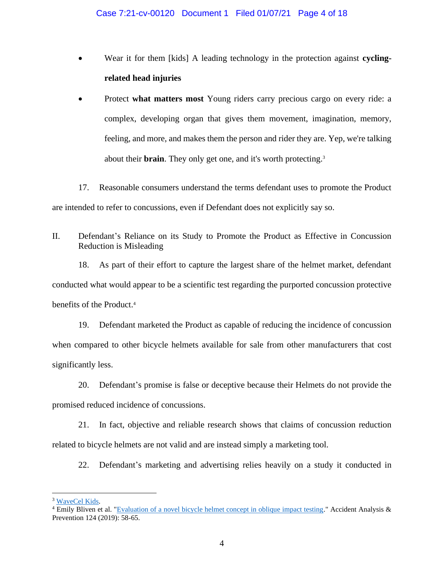- Wear it for them [kids] A leading technology in the protection against **cyclingrelated head injuries**
- Protect **what matters most** Young riders carry precious cargo on every ride: a complex, developing organ that gives them movement, imagination, memory, feeling, and more, and makes them the person and rider they are. Yep, we're talking about their **brain**. They only get one, and it's worth protecting.<sup>3</sup>

17. Reasonable consumers understand the terms defendant uses to promote the Product are intended to refer to concussions, even if Defendant does not explicitly say so.

II. Defendant's Reliance on its Study to Promote the Product as Effective in Concussion Reduction is Misleading

18. As part of their effort to capture the largest share of the helmet market, defendant conducted what would appear to be a scientific test regarding the purported concussion protective benefits of the Product. 4

19. Defendant marketed the Product as capable of reducing the incidence of concussion when compared to other bicycle helmets available for sale from other manufacturers that cost significantly less.

20. Defendant's promise is false or deceptive because their Helmets do not provide the promised reduced incidence of concussions.

21. In fact, objective and reliable research shows that claims of concussion reduction related to bicycle helmets are not valid and are instead simply a marketing tool.

22. Defendant's marketing and advertising relies heavily on a study it conducted in

<sup>&</sup>lt;sup>3</sup> WaveCel Kids.

 $4$  Emily Bliven et al. "Evaluation of a novel bicycle helmet concept in oblique impact testing." Accident Analysis  $\&$ Prevention 124 (2019): 58-65.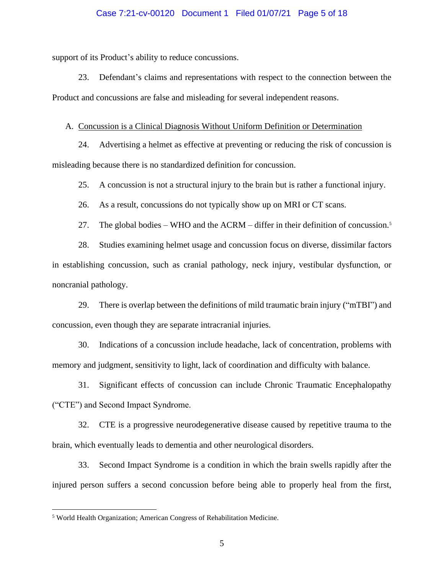## Case 7:21-cv-00120 Document 1 Filed 01/07/21 Page 5 of 18

support of its Product's ability to reduce concussions.

23. Defendant's claims and representations with respect to the connection between the Product and concussions are false and misleading for several independent reasons.

#### A. Concussion is a Clinical Diagnosis Without Uniform Definition or Determination

24. Advertising a helmet as effective at preventing or reducing the risk of concussion is misleading because there is no standardized definition for concussion.

25. A concussion is not a structural injury to the brain but is rather a functional injury.

26. As a result, concussions do not typically show up on MRI or CT scans.

27. The global bodies – WHO and the ACRM – differ in their definition of concussion.<sup>5</sup>

28. Studies examining helmet usage and concussion focus on diverse, dissimilar factors in establishing concussion, such as cranial pathology, neck injury, vestibular dysfunction, or noncranial pathology.

29. There is overlap between the definitions of mild traumatic brain injury ("mTBI") and concussion, even though they are separate intracranial injuries.

30. Indications of a concussion include headache, lack of concentration, problems with memory and judgment, sensitivity to light, lack of coordination and difficulty with balance.

31. Significant effects of concussion can include Chronic Traumatic Encephalopathy ("CTE") and Second Impact Syndrome.

32. CTE is a progressive neurodegenerative disease caused by repetitive trauma to the brain, which eventually leads to dementia and other neurological disorders.

33. Second Impact Syndrome is a condition in which the brain swells rapidly after the injured person suffers a second concussion before being able to properly heal from the first,

<sup>5</sup> World Health Organization; American Congress of Rehabilitation Medicine.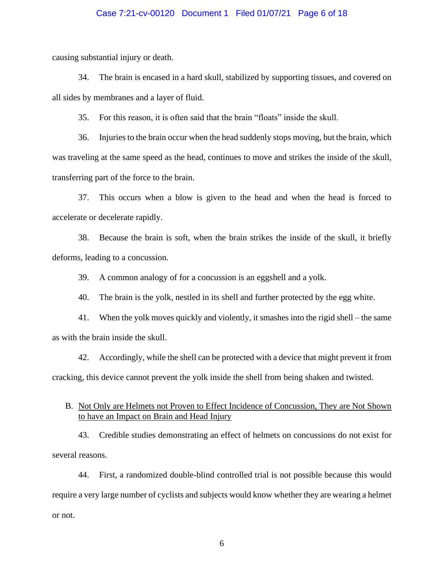## Case 7:21-cv-00120 Document 1 Filed 01/07/21 Page 6 of 18

causing substantial injury or death.

34. The brain is encased in a hard skull, stabilized by supporting tissues, and covered on all sides by membranes and a layer of fluid.

35. For this reason, it is often said that the brain "floats" inside the skull.

36. Injuries to the brain occur when the head suddenly stops moving, but the brain, which was traveling at the same speed as the head, continues to move and strikes the inside of the skull, transferring part of the force to the brain.

37. This occurs when a blow is given to the head and when the head is forced to accelerate or decelerate rapidly.

38. Because the brain is soft, when the brain strikes the inside of the skull, it briefly deforms, leading to a concussion.

39. A common analogy of for a concussion is an eggshell and a yolk.

40. The brain is the yolk, nestled in its shell and further protected by the egg white.

41. When the yolk moves quickly and violently, it smashes into the rigid shell – the same as with the brain inside the skull.

42. Accordingly, while the shell can be protected with a device that might prevent it from cracking, this device cannot prevent the yolk inside the shell from being shaken and twisted.

# B. Not Only are Helmets not Proven to Effect Incidence of Concussion, They are Not Shown to have an Impact on Brain and Head Injury

43. Credible studies demonstrating an effect of helmets on concussions do not exist for several reasons.

44. First, a randomized double-blind controlled trial is not possible because this would require a very large number of cyclists and subjects would know whether they are wearing a helmet or not.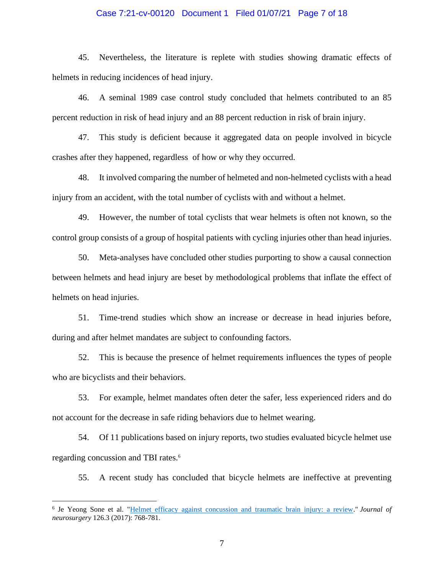#### Case 7:21-cv-00120 Document 1 Filed 01/07/21 Page 7 of 18

45. Nevertheless, the literature is replete with studies showing dramatic effects of helmets in reducing incidences of head injury.

46. A seminal 1989 case control study concluded that helmets contributed to an 85 percent reduction in risk of head injury and an 88 percent reduction in risk of brain injury.

47. This study is deficient because it aggregated data on people involved in bicycle crashes after they happened, regardless of how or why they occurred.

48. It involved comparing the number of helmeted and non-helmeted cyclists with a head injury from an accident, with the total number of cyclists with and without a helmet.

49. However, the number of total cyclists that wear helmets is often not known, so the control group consists of a group of hospital patients with cycling injuries other than head injuries.

50. Meta-analyses have concluded other studies purporting to show a causal connection between helmets and head injury are beset by methodological problems that inflate the effect of helmets on head injuries.

51. Time-trend studies which show an increase or decrease in head injuries before, during and after helmet mandates are subject to confounding factors.

52. This is because the presence of helmet requirements influences the types of people who are bicyclists and their behaviors.

53. For example, helmet mandates often deter the safer, less experienced riders and do not account for the decrease in safe riding behaviors due to helmet wearing.

54. Of 11 publications based on injury reports, two studies evaluated bicycle helmet use regarding concussion and TBI rates.<sup>6</sup>

55. A recent study has concluded that bicycle helmets are ineffective at preventing

<sup>6</sup> Je Yeong Sone et al. "Helmet efficacy against concussion and traumatic brain injury: a review." *Journal of neurosurgery* 126.3 (2017): 768-781.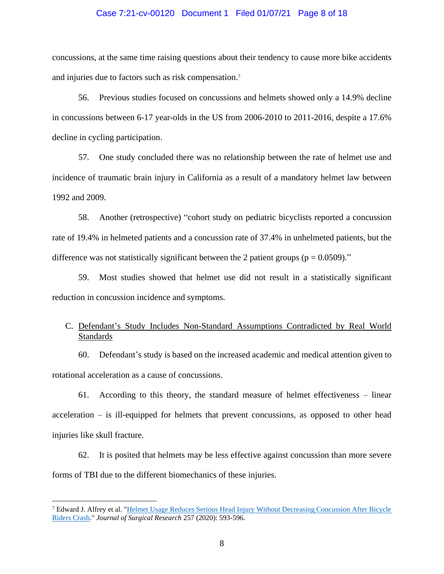#### Case 7:21-cv-00120 Document 1 Filed 01/07/21 Page 8 of 18

concussions, at the same time raising questions about their tendency to cause more bike accidents and injuries due to factors such as risk compensation.<sup>7</sup>

56. Previous studies focused on concussions and helmets showed only a 14.9% decline in concussions between 6-17 year-olds in the US from 2006-2010 to 2011-2016, despite a 17.6% decline in cycling participation.

57. One study concluded there was no relationship between the rate of helmet use and incidence of traumatic brain injury in California as a result of a mandatory helmet law between 1992 and 2009.

58. Another (retrospective) "cohort study on pediatric bicyclists reported a concussion rate of 19.4% in helmeted patients and a concussion rate of 37.4% in unhelmeted patients, but the difference was not statistically significant between the 2 patient groups ( $p = 0.0509$ )."

59. Most studies showed that helmet use did not result in a statistically significant reduction in concussion incidence and symptoms.

# C. Defendant's Study Includes Non-Standard Assumptions Contradicted by Real World Standards

60. Defendant's study is based on the increased academic and medical attention given to rotational acceleration as a cause of concussions.

61. According to this theory, the standard measure of helmet effectiveness – linear acceleration – is ill-equipped for helmets that prevent concussions, as opposed to other head injuries like skull fracture.

62. It is posited that helmets may be less effective against concussion than more severe forms of TBI due to the different biomechanics of these injuries.

<sup>7</sup> Edward J. Alfrey et al. "Helmet Usage Reduces Serious Head Injury Without Decreasing Concussion After Bicycle Riders Crash." *Journal of Surgical Research* 257 (2020): 593-596.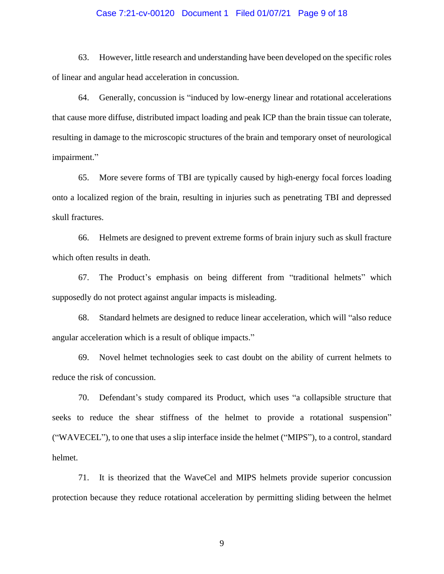### Case 7:21-cv-00120 Document 1 Filed 01/07/21 Page 9 of 18

63. However, little research and understanding have been developed on the specific roles of linear and angular head acceleration in concussion.

64. Generally, concussion is "induced by low-energy linear and rotational accelerations that cause more diffuse, distributed impact loading and peak ICP than the brain tissue can tolerate, resulting in damage to the microscopic structures of the brain and temporary onset of neurological impairment."

65. More severe forms of TBI are typically caused by high-energy focal forces loading onto a localized region of the brain, resulting in injuries such as penetrating TBI and depressed skull fractures.

66. Helmets are designed to prevent extreme forms of brain injury such as skull fracture which often results in death.

67. The Product's emphasis on being different from "traditional helmets" which supposedly do not protect against angular impacts is misleading.

68. Standard helmets are designed to reduce linear acceleration, which will "also reduce angular acceleration which is a result of oblique impacts."

69. Novel helmet technologies seek to cast doubt on the ability of current helmets to reduce the risk of concussion.

70. Defendant's study compared its Product, which uses "a collapsible structure that seeks to reduce the shear stiffness of the helmet to provide a rotational suspension" ("WAVECEL"), to one that uses a slip interface inside the helmet ("MIPS"), to a control, standard helmet.

71. It is theorized that the WaveCel and MIPS helmets provide superior concussion protection because they reduce rotational acceleration by permitting sliding between the helmet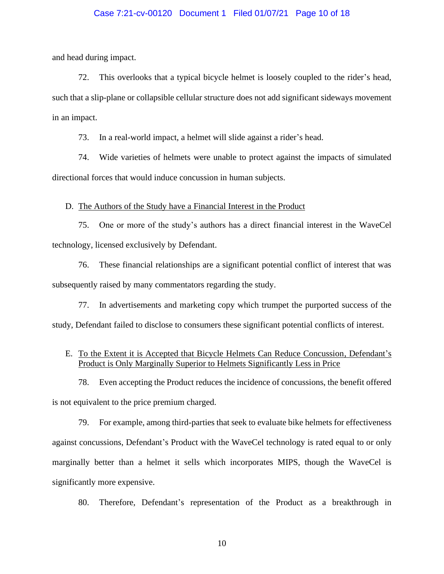## Case 7:21-cv-00120 Document 1 Filed 01/07/21 Page 10 of 18

and head during impact.

72. This overlooks that a typical bicycle helmet is loosely coupled to the rider's head, such that a slip-plane or collapsible cellular structure does not add significant sideways movement in an impact.

73. In a real-world impact, a helmet will slide against a rider's head.

74. Wide varieties of helmets were unable to protect against the impacts of simulated directional forces that would induce concussion in human subjects.

D. The Authors of the Study have a Financial Interest in the Product

75. One or more of the study's authors has a direct financial interest in the WaveCel technology, licensed exclusively by Defendant.

76. These financial relationships are a significant potential conflict of interest that was subsequently raised by many commentators regarding the study.

77. In advertisements and marketing copy which trumpet the purported success of the study, Defendant failed to disclose to consumers these significant potential conflicts of interest.

# E. To the Extent it is Accepted that Bicycle Helmets Can Reduce Concussion, Defendant's Product is Only Marginally Superior to Helmets Significantly Less in Price

78. Even accepting the Product reduces the incidence of concussions, the benefit offered is not equivalent to the price premium charged.

79. For example, among third-parties that seek to evaluate bike helmets for effectiveness against concussions, Defendant's Product with the WaveCel technology is rated equal to or only marginally better than a helmet it sells which incorporates MIPS, though the WaveCel is significantly more expensive.

80. Therefore, Defendant's representation of the Product as a breakthrough in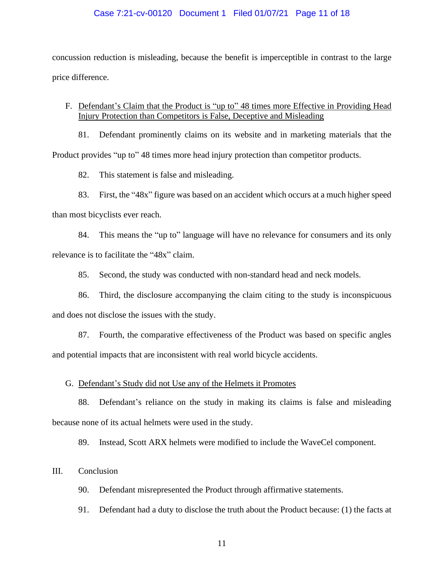## Case 7:21-cv-00120 Document 1 Filed 01/07/21 Page 11 of 18

concussion reduction is misleading, because the benefit is imperceptible in contrast to the large price difference.

# F. Defendant's Claim that the Product is "up to" 48 times more Effective in Providing Head Injury Protection than Competitors is False, Deceptive and Misleading

81. Defendant prominently claims on its website and in marketing materials that the Product provides "up to" 48 times more head injury protection than competitor products.

82. This statement is false and misleading.

83. First, the "48x" figure was based on an accident which occurs at a much higher speed

than most bicyclists ever reach.

84. This means the "up to" language will have no relevance for consumers and its only relevance is to facilitate the "48x" claim.

85. Second, the study was conducted with non-standard head and neck models.

86. Third, the disclosure accompanying the claim citing to the study is inconspicuous and does not disclose the issues with the study.

87. Fourth, the comparative effectiveness of the Product was based on specific angles and potential impacts that are inconsistent with real world bicycle accidents.

# G. Defendant's Study did not Use any of the Helmets it Promotes

88. Defendant's reliance on the study in making its claims is false and misleading because none of its actual helmets were used in the study.

89. Instead, Scott ARX helmets were modified to include the WaveCel component.

# III. Conclusion

90. Defendant misrepresented the Product through affirmative statements.

91. Defendant had a duty to disclose the truth about the Product because: (1) the facts at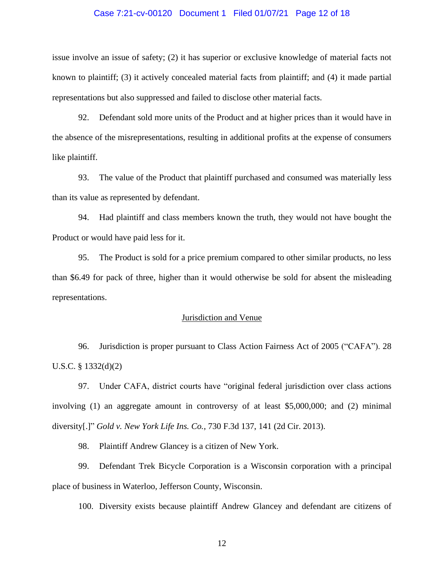#### Case 7:21-cv-00120 Document 1 Filed 01/07/21 Page 12 of 18

issue involve an issue of safety; (2) it has superior or exclusive knowledge of material facts not known to plaintiff; (3) it actively concealed material facts from plaintiff; and (4) it made partial representations but also suppressed and failed to disclose other material facts.

92. Defendant sold more units of the Product and at higher prices than it would have in the absence of the misrepresentations, resulting in additional profits at the expense of consumers like plaintiff.

93. The value of the Product that plaintiff purchased and consumed was materially less than its value as represented by defendant.

94. Had plaintiff and class members known the truth, they would not have bought the Product or would have paid less for it.

95. The Product is sold for a price premium compared to other similar products, no less than \$6.49 for pack of three, higher than it would otherwise be sold for absent the misleading representations.

## Jurisdiction and Venue

96. Jurisdiction is proper pursuant to Class Action Fairness Act of 2005 ("CAFA"). 28 U.S.C. § 1332(d)(2)

97. Under CAFA, district courts have "original federal jurisdiction over class actions involving (1) an aggregate amount in controversy of at least \$5,000,000; and (2) minimal diversity[.]" *Gold v. New York Life Ins. Co.*, 730 F.3d 137, 141 (2d Cir. 2013).

98. Plaintiff Andrew Glancey is a citizen of New York.

99. Defendant Trek Bicycle Corporation is a Wisconsin corporation with a principal place of business in Waterloo, Jefferson County, Wisconsin.

100. Diversity exists because plaintiff Andrew Glancey and defendant are citizens of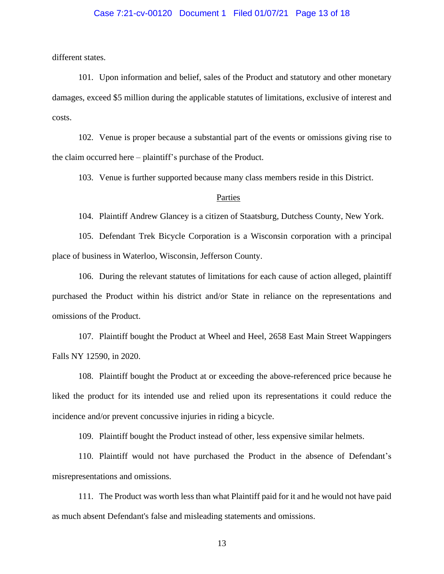## Case 7:21-cv-00120 Document 1 Filed 01/07/21 Page 13 of 18

different states.

101. Upon information and belief, sales of the Product and statutory and other monetary damages, exceed \$5 million during the applicable statutes of limitations, exclusive of interest and costs.

102. Venue is proper because a substantial part of the events or omissions giving rise to the claim occurred here – plaintiff's purchase of the Product.

103. Venue is further supported because many class members reside in this District.

#### Parties

104. Plaintiff Andrew Glancey is a citizen of Staatsburg, Dutchess County, New York.

105. Defendant Trek Bicycle Corporation is a Wisconsin corporation with a principal place of business in Waterloo, Wisconsin, Jefferson County.

106. During the relevant statutes of limitations for each cause of action alleged, plaintiff purchased the Product within his district and/or State in reliance on the representations and omissions of the Product.

107. Plaintiff bought the Product at Wheel and Heel, 2658 East Main Street Wappingers Falls NY 12590, in 2020.

108. Plaintiff bought the Product at or exceeding the above-referenced price because he liked the product for its intended use and relied upon its representations it could reduce the incidence and/or prevent concussive injuries in riding a bicycle.

109. Plaintiff bought the Product instead of other, less expensive similar helmets.

110. Plaintiff would not have purchased the Product in the absence of Defendant's misrepresentations and omissions.

111. The Product was worth less than what Plaintiff paid for it and he would not have paid as much absent Defendant's false and misleading statements and omissions.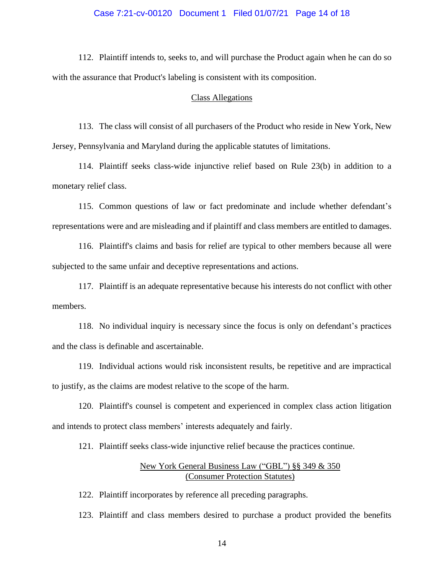## Case 7:21-cv-00120 Document 1 Filed 01/07/21 Page 14 of 18

112. Plaintiff intends to, seeks to, and will purchase the Product again when he can do so with the assurance that Product's labeling is consistent with its composition.

#### Class Allegations

113. The class will consist of all purchasers of the Product who reside in New York, New Jersey, Pennsylvania and Maryland during the applicable statutes of limitations.

114. Plaintiff seeks class-wide injunctive relief based on Rule 23(b) in addition to a monetary relief class.

115. Common questions of law or fact predominate and include whether defendant's representations were and are misleading and if plaintiff and class members are entitled to damages.

116. Plaintiff's claims and basis for relief are typical to other members because all were subjected to the same unfair and deceptive representations and actions.

117. Plaintiff is an adequate representative because his interests do not conflict with other members.

118. No individual inquiry is necessary since the focus is only on defendant's practices and the class is definable and ascertainable.

119. Individual actions would risk inconsistent results, be repetitive and are impractical to justify, as the claims are modest relative to the scope of the harm.

120. Plaintiff's counsel is competent and experienced in complex class action litigation and intends to protect class members' interests adequately and fairly.

121. Plaintiff seeks class-wide injunctive relief because the practices continue.

# New York General Business Law ("GBL") §§ 349 & 350 (Consumer Protection Statutes)

122. Plaintiff incorporates by reference all preceding paragraphs.

123. Plaintiff and class members desired to purchase a product provided the benefits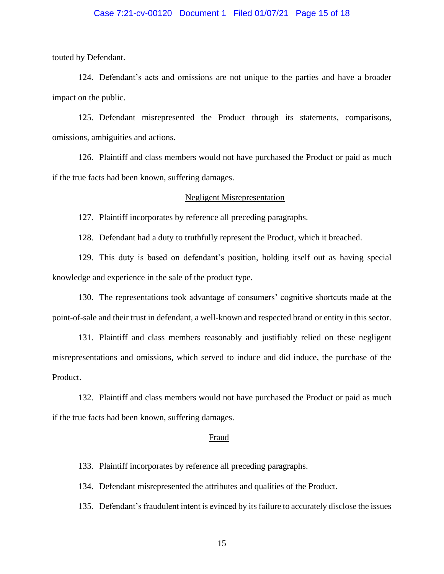## Case 7:21-cv-00120 Document 1 Filed 01/07/21 Page 15 of 18

touted by Defendant.

124. Defendant's acts and omissions are not unique to the parties and have a broader impact on the public.

125. Defendant misrepresented the Product through its statements, comparisons, omissions, ambiguities and actions.

126. Plaintiff and class members would not have purchased the Product or paid as much if the true facts had been known, suffering damages.

#### Negligent Misrepresentation

127. Plaintiff incorporates by reference all preceding paragraphs.

128. Defendant had a duty to truthfully represent the Product, which it breached.

129. This duty is based on defendant's position, holding itself out as having special knowledge and experience in the sale of the product type.

130. The representations took advantage of consumers' cognitive shortcuts made at the point-of-sale and their trust in defendant, a well-known and respected brand or entity in this sector.

131. Plaintiff and class members reasonably and justifiably relied on these negligent misrepresentations and omissions, which served to induce and did induce, the purchase of the Product.

132. Plaintiff and class members would not have purchased the Product or paid as much if the true facts had been known, suffering damages.

#### Fraud

133. Plaintiff incorporates by reference all preceding paragraphs.

134. Defendant misrepresented the attributes and qualities of the Product.

135. Defendant's fraudulent intent is evinced by its failure to accurately disclose the issues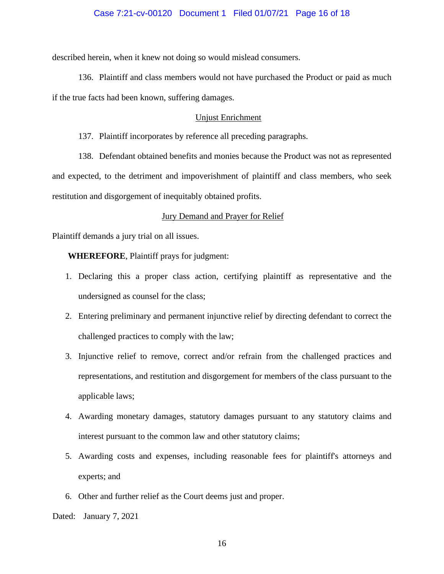## Case 7:21-cv-00120 Document 1 Filed 01/07/21 Page 16 of 18

described herein, when it knew not doing so would mislead consumers.

136. Plaintiff and class members would not have purchased the Product or paid as much if the true facts had been known, suffering damages.

## Unjust Enrichment

137. Plaintiff incorporates by reference all preceding paragraphs.

138. Defendant obtained benefits and monies because the Product was not as represented and expected, to the detriment and impoverishment of plaintiff and class members, who seek restitution and disgorgement of inequitably obtained profits.

#### Jury Demand and Prayer for Relief

Plaintiff demands a jury trial on all issues.

**WHEREFORE**, Plaintiff prays for judgment:

- 1. Declaring this a proper class action, certifying plaintiff as representative and the undersigned as counsel for the class;
- 2. Entering preliminary and permanent injunctive relief by directing defendant to correct the challenged practices to comply with the law;
- 3. Injunctive relief to remove, correct and/or refrain from the challenged practices and representations, and restitution and disgorgement for members of the class pursuant to the applicable laws;
- 4. Awarding monetary damages, statutory damages pursuant to any statutory claims and interest pursuant to the common law and other statutory claims;
- 5. Awarding costs and expenses, including reasonable fees for plaintiff's attorneys and experts; and
- 6. Other and further relief as the Court deems just and proper.

Dated: January 7, 2021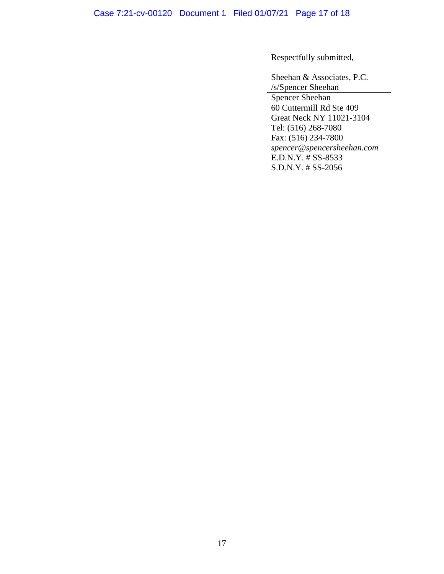Case 7:21-cv-00120 Document 1 Filed 01/07/21 Page 17 of 18

Respectfully submitted,

Sheehan & Associates, P.C. /s/Spencer Sheehan

Spencer Sheehan 60 Cuttermill Rd Ste 409 Great Neck NY 11021-3104 Tel: (516) 268-7080 Fax: (516) 234-7800 *spencer@spencersheehan.com* E.D.N.Y. # SS-8533 S.D.N.Y. # SS-2056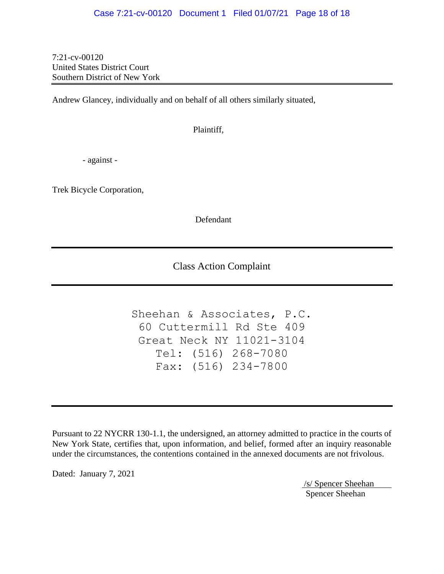## Case 7:21-cv-00120 Document 1 Filed 01/07/21 Page 18 of 18

7:21-cv-00120 United States District Court Southern District of New York

Andrew Glancey, individually and on behalf of all others similarly situated,

Plaintiff,

- against -

Trek Bicycle Corporation,

Defendant

Class Action Complaint

Sheehan & Associates, P.C. 60 Cuttermill Rd Ste 409 Great Neck NY 11021-3104 Tel: (516) 268-7080 Fax: (516) 234-7800

Pursuant to 22 NYCRR 130-1.1, the undersigned, an attorney admitted to practice in the courts of New York State, certifies that, upon information, and belief, formed after an inquiry reasonable under the circumstances, the contentions contained in the annexed documents are not frivolous.

Dated: January 7, 2021

/s/ Spencer Sheehan Spencer Sheehan